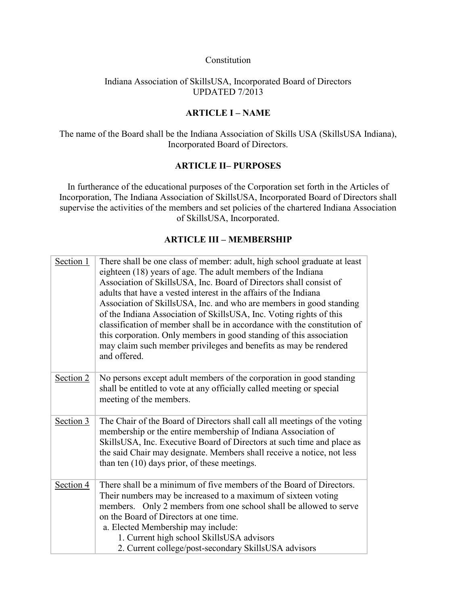#### Constitution

## Indiana Association of SkillsUSA, Incorporated Board of Directors UPDATED 7/2013

# **ARTICLE I – NAME**

The name of the Board shall be the Indiana Association of Skills USA (SkillsUSA Indiana), Incorporated Board of Directors.

## **ARTICLE II– PURPOSES**

In furtherance of the educational purposes of the Corporation set forth in the Articles of Incorporation, The Indiana Association of SkillsUSA, Incorporated Board of Directors shall supervise the activities of the members and set policies of the chartered Indiana Association of SkillsUSA, Incorporated.

# **ARTICLE III – MEMBERSHIP**

| Section 1 | There shall be one class of member: adult, high school graduate at least<br>eighteen (18) years of age. The adult members of the Indiana<br>Association of SkillsUSA, Inc. Board of Directors shall consist of<br>adults that have a vested interest in the affairs of the Indiana<br>Association of SkillsUSA, Inc. and who are members in good standing<br>of the Indiana Association of SkillsUSA, Inc. Voting rights of this<br>classification of member shall be in accordance with the constitution of<br>this corporation. Only members in good standing of this association<br>may claim such member privileges and benefits as may be rendered<br>and offered. |
|-----------|-------------------------------------------------------------------------------------------------------------------------------------------------------------------------------------------------------------------------------------------------------------------------------------------------------------------------------------------------------------------------------------------------------------------------------------------------------------------------------------------------------------------------------------------------------------------------------------------------------------------------------------------------------------------------|
| Section 2 | No persons except adult members of the corporation in good standing<br>shall be entitled to vote at any officially called meeting or special<br>meeting of the members.                                                                                                                                                                                                                                                                                                                                                                                                                                                                                                 |
| Section 3 | The Chair of the Board of Directors shall call all meetings of the voting<br>membership or the entire membership of Indiana Association of<br>SkillsUSA, Inc. Executive Board of Directors at such time and place as<br>the said Chair may designate. Members shall receive a notice, not less<br>than ten (10) days prior, of these meetings.                                                                                                                                                                                                                                                                                                                          |
| Section 4 | There shall be a minimum of five members of the Board of Directors.<br>Their numbers may be increased to a maximum of sixteen voting<br>members. Only 2 members from one school shall be allowed to serve<br>on the Board of Directors at one time.<br>a. Elected Membership may include:<br>1. Current high school SkillsUSA advisors<br>2. Current college/post-secondary SkillsUSA advisors                                                                                                                                                                                                                                                                          |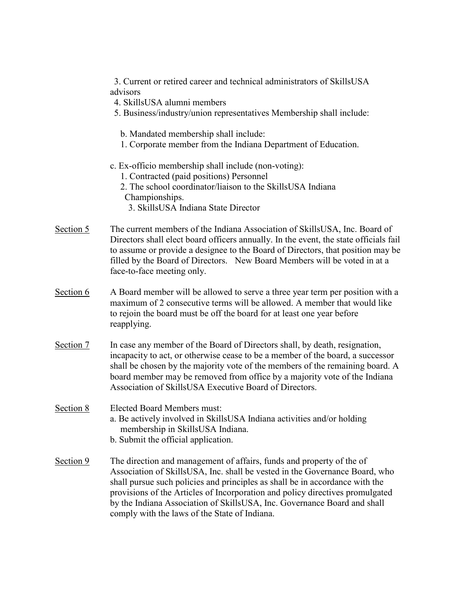3. Current or retired career and technical administrators of SkillsUSA advisors

- 4. SkillsUSA alumni members
- 5. Business/industry/union representatives Membership shall include:
	- b. Mandated membership shall include:
	- 1. Corporate member from the Indiana Department of Education.
- c. Ex-officio membership shall include (non-voting):
	- 1. Contracted (paid positions) Personnel
	- 2. The school coordinator/liaison to the SkillsUSA Indiana Championships.
		- 3. SkillsUSA Indiana State Director
- Section 5 The current members of the Indiana Association of SkillsUSA, Inc. Board of Directors shall elect board officers annually. In the event, the state officials fail to assume or provide a designee to the Board of Directors, that position may be filled by the Board of Directors. New Board Members will be voted in at a face-to-face meeting only.
- Section 6 A Board member will be allowed to serve a three year term per position with a maximum of 2 consecutive terms will be allowed. A member that would like to rejoin the board must be off the board for at least one year before reapplying.
- Section 7 In case any member of the Board of Directors shall, by death, resignation, incapacity to act, or otherwise cease to be a member of the board, a successor shall be chosen by the majority vote of the members of the remaining board. A board member may be removed from office by a majority vote of the Indiana Association of SkillsUSA Executive Board of Directors.

### Section 8 Elected Board Members must:

- a. Be actively involved in SkillsUSA Indiana activities and/or holding membership in SkillsUSA Indiana.
- b. Submit the official application.
- Section 9 The direction and management of affairs, funds and property of the of Association of SkillsUSA, Inc. shall be vested in the Governance Board, who shall pursue such policies and principles as shall be in accordance with the provisions of the Articles of Incorporation and policy directives promulgated by the Indiana Association of SkillsUSA, Inc. Governance Board and shall comply with the laws of the State of Indiana.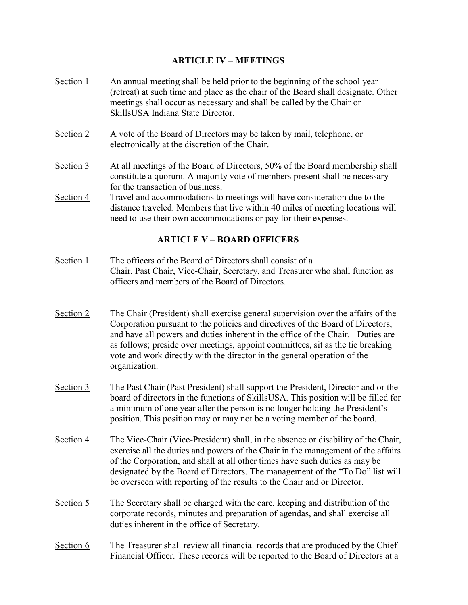## **ARTICLE IV – MEETINGS**

- Section 1 An annual meeting shall be held prior to the beginning of the school year (retreat) at such time and place as the chair of the Board shall designate. Other meetings shall occur as necessary and shall be called by the Chair or SkillsUSA Indiana State Director.
- Section 2 A vote of the Board of Directors may be taken by mail, telephone, or electronically at the discretion of the Chair.
- Section 3 At all meetings of the Board of Directors, 50% of the Board membership shall constitute a quorum. A majority vote of members present shall be necessary for the transaction of business.
- Section 4 Travel and accommodations to meetings will have consideration due to the distance traveled. Members that live within 40 miles of meeting locations will need to use their own accommodations or pay for their expenses.

## **ARTICLE V – BOARD OFFICERS**

- Section 1 The officers of the Board of Directors shall consist of a Chair, Past Chair, Vice-Chair, Secretary, and Treasurer who shall function as officers and members of the Board of Directors.
- Section 2 The Chair (President) shall exercise general supervision over the affairs of the Corporation pursuant to the policies and directives of the Board of Directors, and have all powers and duties inherent in the office of the Chair. Duties are as follows; preside over meetings, appoint committees, sit as the tie breaking vote and work directly with the director in the general operation of the organization.
- Section 3 The Past Chair (Past President) shall support the President, Director and or the board of directors in the functions of SkillsUSA. This position will be filled for a minimum of one year after the person is no longer holding the President's position. This position may or may not be a voting member of the board.
- Section 4 The Vice-Chair (Vice-President) shall, in the absence or disability of the Chair, exercise all the duties and powers of the Chair in the management of the affairs of the Corporation, and shall at all other times have such duties as may be designated by the Board of Directors. The management of the "To Do" list will be overseen with reporting of the results to the Chair and or Director.
- Section 5 The Secretary shall be charged with the care, keeping and distribution of the corporate records, minutes and preparation of agendas, and shall exercise all duties inherent in the office of Secretary.
- Section 6 The Treasurer shall review all financial records that are produced by the Chief Financial Officer. These records will be reported to the Board of Directors at a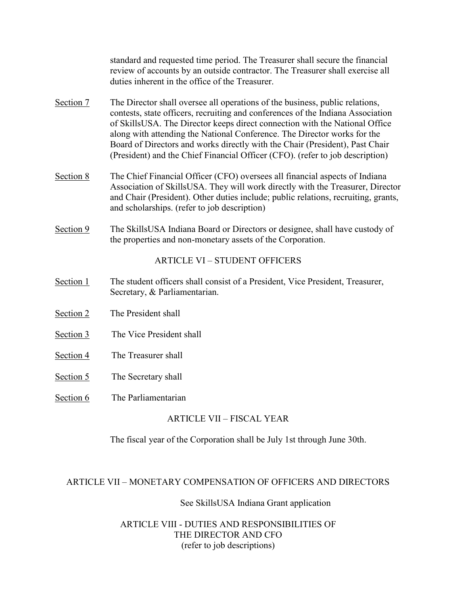standard and requested time period. The Treasurer shall secure the financial review of accounts by an outside contractor. The Treasurer shall exercise all duties inherent in the office of the Treasurer.

- Section 7 The Director shall oversee all operations of the business, public relations, contests, state officers, recruiting and conferences of the Indiana Association of SkillsUSA. The Director keeps direct connection with the National Office along with attending the National Conference. The Director works for the Board of Directors and works directly with the Chair (President), Past Chair (President) and the Chief Financial Officer (CFO). (refer to job description)
- Section 8 The Chief Financial Officer (CFO) oversees all financial aspects of Indiana Association of SkillsUSA. They will work directly with the Treasurer, Director and Chair (President). Other duties include; public relations, recruiting, grants, and scholarships. (refer to job description)
- Section 9 The SkillsUSA Indiana Board or Directors or designee, shall have custody of the properties and non-monetary assets of the Corporation.

# ARTICLE VI – STUDENT OFFICERS

- Section 1 The student officers shall consist of a President, Vice President, Treasurer, Secretary, & Parliamentarian.
- Section 2 The President shall
- Section 3 The Vice President shall
- Section 4 The Treasurer shall
- Section 5 The Secretary shall
- Section 6 The Parliamentarian

# ARTICLE VII – FISCAL YEAR

The fiscal year of the Corporation shall be July 1st through June 30th.

### ARTICLE VII – MONETARY COMPENSATION OF OFFICERS AND DIRECTORS

### See SkillsUSA Indiana Grant application

# ARTICLE VIII - DUTIES AND RESPONSIBILITIES OF THE DIRECTOR AND CFO (refer to job descriptions)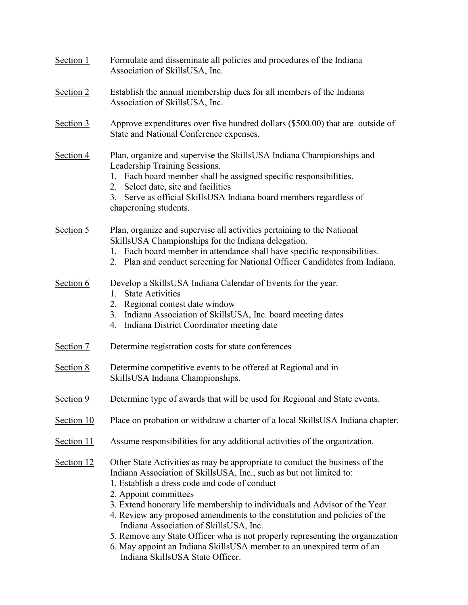| Section 1  | Formulate and disseminate all policies and procedures of the Indiana<br>Association of SkillsUSA, Inc.                                                                                                                                                                                                                                                                                                                                                                                                                                                                                                                          |
|------------|---------------------------------------------------------------------------------------------------------------------------------------------------------------------------------------------------------------------------------------------------------------------------------------------------------------------------------------------------------------------------------------------------------------------------------------------------------------------------------------------------------------------------------------------------------------------------------------------------------------------------------|
| Section 2  | Establish the annual membership dues for all members of the Indiana<br>Association of SkillsUSA, Inc.                                                                                                                                                                                                                                                                                                                                                                                                                                                                                                                           |
| Section 3  | Approve expenditures over five hundred dollars (\$500.00) that are outside of<br>State and National Conference expenses.                                                                                                                                                                                                                                                                                                                                                                                                                                                                                                        |
| Section 4  | Plan, organize and supervise the SkillsUSA Indiana Championships and<br>Leadership Training Sessions.<br>1. Each board member shall be assigned specific responsibilities.<br>2. Select date, site and facilities<br>Serve as official SkillsUSA Indiana board members regardless of<br>3.<br>chaperoning students.                                                                                                                                                                                                                                                                                                             |
| Section 5  | Plan, organize and supervise all activities pertaining to the National<br>SkillsUSA Championships for the Indiana delegation.<br>1. Each board member in attendance shall have specific responsibilities.<br>2. Plan and conduct screening for National Officer Candidates from Indiana.                                                                                                                                                                                                                                                                                                                                        |
| Section 6  | Develop a SkillsUSA Indiana Calendar of Events for the year.<br><b>State Activities</b><br>1.<br>Regional contest date window<br>2.<br>Indiana Association of SkillsUSA, Inc. board meeting dates<br>3.<br>Indiana District Coordinator meeting date<br>4.                                                                                                                                                                                                                                                                                                                                                                      |
| Section 7  | Determine registration costs for state conferences                                                                                                                                                                                                                                                                                                                                                                                                                                                                                                                                                                              |
| Section 8  | Determine competitive events to be offered at Regional and in<br>SkillsUSA Indiana Championships.                                                                                                                                                                                                                                                                                                                                                                                                                                                                                                                               |
| Section 9  | Determine type of awards that will be used for Regional and State events.                                                                                                                                                                                                                                                                                                                                                                                                                                                                                                                                                       |
| Section 10 | Place on probation or withdraw a charter of a local SkillsUSA Indiana chapter.                                                                                                                                                                                                                                                                                                                                                                                                                                                                                                                                                  |
| Section 11 | Assume responsibilities for any additional activities of the organization.                                                                                                                                                                                                                                                                                                                                                                                                                                                                                                                                                      |
| Section 12 | Other State Activities as may be appropriate to conduct the business of the<br>Indiana Association of SkillsUSA, Inc., such as but not limited to:<br>1. Establish a dress code and code of conduct<br>2. Appoint committees<br>3. Extend honorary life membership to individuals and Advisor of the Year.<br>4. Review any proposed amendments to the constitution and policies of the<br>Indiana Association of SkillsUSA, Inc.<br>5. Remove any State Officer who is not properly representing the organization<br>6. May appoint an Indiana SkillsUSA member to an unexpired term of an<br>Indiana SkillsUSA State Officer. |